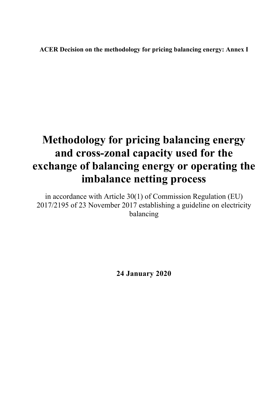**ACER Decision on the methodology for pricing balancing energy: Annex I** 

# **Methodology for pricing balancing energy and cross-zonal capacity used for the exchange of balancing energy or operating the imbalance netting process**

in accordance with Article 30(1) of Commission Regulation (EU) 2017/2195 of 23 November 2017 establishing a guideline on electricity balancing

**24 January 2020**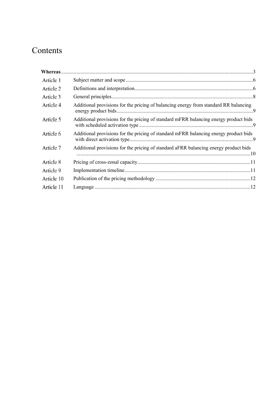## Contents

| Article 1  |                                                                                      |  |
|------------|--------------------------------------------------------------------------------------|--|
| Article 2  |                                                                                      |  |
| Article 3  |                                                                                      |  |
| Article 4  | Additional provisions for the pricing of balancing energy from standard RR balancing |  |
| Article 5  | Additional provisions for the pricing of standard mFRR balancing energy product bids |  |
| Article 6  | Additional provisions for the pricing of standard mFRR balancing energy product bids |  |
| Article 7  | Additional provisions for the pricing of standard aFRR balancing energy product bids |  |
| Article 8  |                                                                                      |  |
| Article 9  |                                                                                      |  |
| Article 10 |                                                                                      |  |
| Article 11 |                                                                                      |  |
|            |                                                                                      |  |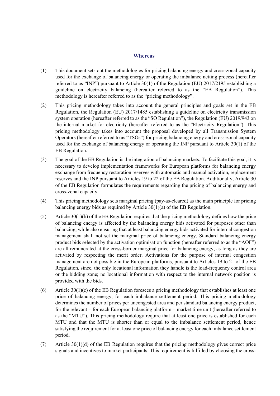#### **Whereas**

- (1) This document sets out the methodologies for pricing balancing energy and cross-zonal capacity used for the exchange of balancing energy or operating the imbalance netting process (hereafter referred to as "INP") pursuant to Article 30(1) of the Regulation (EU) 2017/2195 establishing a guideline on electricity balancing (hereafter referred to as the "EB Regulation"). This methodology is hereafter referred to as the "pricing methodology".
- (2) This pricing methodology takes into account the general principles and goals set in the EB Regulation, the Regulation (EU) 2017/1485 establishing a guideline on electricity transmission system operation (hereafter referred to as the "SO Regulation"), the Regulation (EU) 2019/943 on the internal market for electricity (hereafter referred to as the "Electricity Regulation"). This pricing methodology takes into account the proposal developed by all Transmission System Operators (hereafter referred to as "TSOs") for pricing balancing energy and cross-zonal capacity used for the exchange of balancing energy or operating the INP pursuant to Article 30(1) of the EB Regulation.
- (3) The goal of the EB Regulation is the integration of balancing markets. To facilitate this goal, it is necessary to develop implementation frameworks for European platforms for balancing energy exchange from frequency restoration reserves with automatic and manual activation, replacement reserves and the INP pursuant to Articles 19 to 22 of the EB Regulation. Additionally, Article 30 of the EB Regulation formulates the requirements regarding the pricing of balancing energy and cross-zonal capacity.
- (4) This pricing methodology sets marginal pricing (pay-as-cleared) as the main principle for pricing balancing energy bids as required by Article 30(1)(a) of the EB Regulation.
- (5) Article 30(1)(b) of the EB Regulation requires that the pricing methodology defines how the price of balancing energy is affected by the balancing energy bids activated for purposes other than balancing, while also ensuring that at least balancing energy bids activated for internal congestion management shall not set the marginal price of balancing energy. Standard balancing energy product bids selected by the activation optimisation function (hereafter referred to as the "AOF") are all remunerated at the cross-border marginal price for balancing energy, as long as they are activated by respecting the merit order. Activations for the purpose of internal congestion management are not possible in the European platforms, pursuant to Articles 19 to 21 of the EB Regulation, since, the only locational information they handle is the load-frequency control area or the bidding zone; no locational information with respect to the internal network position is provided with the bids.
- (6) Article 30(1)(c) of the EB Regulation foresees a pricing methodology that establishes at least one price of balancing energy, for each imbalance settlement period. This pricing methodology determines the number of prices per uncongested area and per standard balancing energy product, for the relevant – for each European balancing platform – market time unit (hereafter referred to as the "MTU"). This pricing methodology require that at least one price is established for each MTU and that the MTU is shorter than or equal to the imbalance settlement period, hence satisfying the requirement for at least one price of balancing energy for each imbalance settlement period.
- (7) Article 30(1)(d) of the EB Regulation requires that the pricing methodology gives correct price signals and incentives to market participants. This requirement is fulfilled by choosing the cross-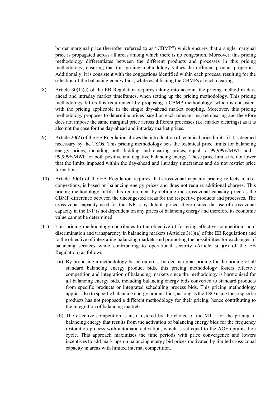border marginal price (hereafter referred to as "CBMP") which ensures that a single marginal price is propagated across all areas among which there is no congestion. Moreover, this pricing methodology differentiates between the different products and processes in this pricing methodology, ensuring that this pricing methodology values the different product properties. Additionally, it is consistent with the congestions identified within each process, resulting for the selection of the balancing energy bids, while establishing the CBMPs at each clearing.

- (8) Article 30(1)(e) of the EB Regulation requires taking into account the pricing method in dayahead and intraday market timeframes, when setting up the pricing methodology. This pricing methodology fulfils this requirement by proposing a CBMP methodology, which is consistent with the pricing applicable in the single day-ahead market coupling. Moreover, this pricing methodology proposes to determine prices based on each relevant market clearing and therefore does not impose the same marginal price across different processes (i.e. market clearings) as it is also not the case for the day-ahead and intraday market prices.
- (9) Article 20(2) of the EB Regulation allows the introduction of technical price limits, if it is deemed necessary by the TSOs. This pricing methodology sets the technical price limits for balancing energy prices, including both bidding and clearing prices, equal to 99,999€/MWh and - 99,999€/MWh for both positive and negative balancing energy. These price limits are not lower that the limits imposed within the day-ahead and intraday timeframes and do not restrict price formation.
- (10) Article 30(3) of the EB Regulation requires that cross-zonal capacity pricing reflects market congestions, is based on balancing energy prices and does not require additional charges. This pricing methodology fulfils this requirement by defining the cross-zonal capacity price as the CBMP difference between the uncongested areas for the respective products and processes. The cross-zonal capacity used for the INP is by default priced at zero since the use of cross-zonal capacity in the INP is not dependent on any prices of balancing energy and therefore its economic value cannot be determined.
- (11) This pricing methodology contributes to the objective of fostering effective competition, nondiscrimination and transparency in balancing markets (Articles 3(1)(a) of the EB Regulation) and to the objective of integrating balancing markets and promoting the possibilities for exchanges of balancing services while contributing to operational security (Article  $3(1)(c)$  of the EB Regulation) as follows:
	- (a) By proposing a methodology based on cross-border marginal pricing for the pricing of all standard balancing energy product bids, this pricing methodology fosters effective competition and integration of balancing markets since the methodology is harmonised for all balancing energy bids, including balancing energy bids converted to standard products from specific products or integrated scheduling process bids. This pricing methodology applies also to specific balancing energy product bids, as long as the TSO using these specific products has not proposed a different methodology for their pricing, hence contributing to the integration of balancing markets.
	- (b) The effective competition is also fostered by the choice of the MTU for the pricing of balancing energy that results from the activation of balancing energy bids for the frequency restoration process with automatic activation, which is set equal to the AOF optimisation cycle. This approach maximises the time periods with price convergence and lowers incentives to add mark-ups on balancing energy bid prices motivated by limited cross-zonal capacity in areas with limited internal competition.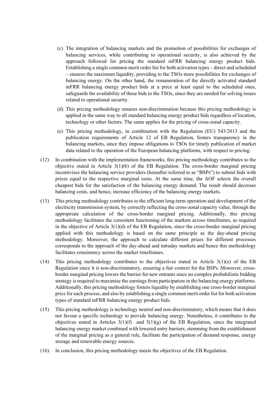- (c) The integration of balancing markets and the promotion of possibilities for exchanges of balancing services, while contributing to operational security, is also achieved by the approach followed for pricing the standard mFRR balancing energy product bids. Establishing a single common merit order list for both activation types – direct and scheduled – ensures the maximum liquidity, providing to the TSOs more possibilities for exchanges of balancing energy. On the other hand, the remuneration of the directly activated standard mFRR balancing energy product bids at a price at least equal to the scheduled ones, safeguards the availability of these bids to the TSOs, since they are needed for solving issues related to operational security.
- (d) This pricing methodology ensures non-discrimination because this pricing methodology is applied in the same way to all standard balancing energy product bids regardless of location, technology or other factors. The same applies for the pricing of cross-zonal capacity.
- (e) This pricing methodology, in combination with the Regulation (EU) 543/2013 and the publication requirements of Article 12 of EB Regulation, fosters transparency in the balancing markets, since they impose obligations to TSOs for timely publication of market data related to the operation of the European balancing platforms, with respect to pricing.
- (12) In combination with the implementation frameworks, this pricing methodology contributes to the objective stated in Article  $3(1)(b)$  of the EB Regulation. The cross-border marginal pricing incentivises the balancing service providers (hereafter referred to as "BSPs") to submit bids with prices equal to the respective marginal costs. At the same time, the AOF selects the overall cheapest bids for the satisfaction of the balancing energy demand. The result should decrease balancing costs, and hence, increase efficiency of the balancing energy markets.
- (13) This pricing methodology contributes to the efficient long-term operation and development of the electricity transmission system, by correctly reflecting the cross-zonal capacity value, through the appropriate calculation of the cross-border marginal pricing. Additionally, this pricing methodology facilitates the consistent functioning of the markets across timeframes, as required in the objective of Article 3(1)(d) of the EB Regulation, since the cross-border marginal pricing applied with this methodology is based on the same principle as the day-ahead pricing methodology. Moreover, the approach to calculate different prices for different processes corresponds to the approach of the day-ahead and intraday markets and hence this methodology facilitates consistency across the market timeframes.
- (14) This pricing methodology contributes to the objectives stated in Article 3(1)(e) of the EB Regulation since it is non-discriminatory, ensuring a fair context for the BSPs. Moreover, crossborder marginal pricing lowers the barrier for new entrants since no complex probabilistic bidding strategy is required to maximise the earnings from participation in the balancing energy platforms. Additionally, this pricing methodology fosters liquidity by establishing one cross-border marginal price for each process, and also by establishing a single common merit order list for both activation types of standard mFRR balancing energy product bids.
- (15) This pricing methodology is technology neutral and non-discriminatory, which means that it does not favour a specific technology to provide balancing energy. Nonetheless, it contributes to the objectives stated in Articles  $3(1)(f)$  and  $3(1)(g)$  of the EB Regulation, since the integrated balancing energy market combined with lowered entry barriers, stemming from the establishment of the marginal pricing as a general rule, facilitate the participation of demand response, energy storage and renewable energy sources.
- (16) In conclusion, this pricing methodology meets the objectives of the EB Regulation.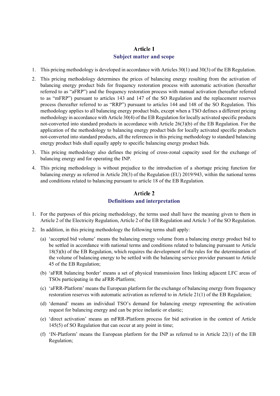## Article 1

#### **Subject matter and scope**

- 1. This pricing methodology is developed in accordance with Articles 30(1) and 30(3) of the EB Regulation.
- 2. This pricing methodology determines the prices of balancing energy resulting from the activation of balancing energy product bids for frequency restoration process with automatic activation (hereafter referred to as "aFRP") and the frequency restoration process with manual activation (hereafter referred to as "mFRP") pursuant to articles 143 and 147 of the SO Regulation and the replacement reserves process (hereafter referred to as "RRP") pursuant to articles 144 and 148 of the SO Regulation. This methodology applies to all balancing energy product bids, except when a TSO defines a different pricing methodology in accordance with Article 30(4) of the EB Regulation for locally activated specific products not-converted into standard products in accordance with Article 26(3)(b) of the EB Regulation. For the application of the methodology to balancing energy product bids for locally activated specific products not-converted into standard products, all the references in this pricing methodology to standard balancing energy product bids shall equally apply to specific balancing energy product bids.
- 3. This pricing methodology also defines the pricing of cross-zonal capacity used for the exchange of balancing energy and for operating the INP.
- 4. This pricing methodology is without prejudice to the introduction of a shortage pricing function for balancing energy as referred in Article 20(3) of the Regulation (EU) 2019/943, within the national terms and conditions related to balancing pursuant to article 18 of the EB Regulation.

## **Article 2 Definitions and interpretation**

- 1. For the purposes of this pricing methodology, the terms used shall have the meaning given to them in Article 2 of the Electricity Regulation, Article 2 of the EB Regulation and Article 3 of the SO Regulation.
- 2. In addition, in this pricing methodology the following terms shall apply:
	- (a) 'accepted bid volume' means the balancing energy volume from a balancing energy product bid to be settled in accordance with national terms and conditions related to balancing pursuant to Article 18(5)(h) of the EB Regulation, which requires the development of the rules for the determination of the volume of balancing energy to be settled with the balancing service provider pursuant to Article 45 of the EB Regulation;
	- (b) 'aFRR balancing border' means a set of physical transmission lines linking adjacent LFC areas of TSOs participating in the aFRR-Platform;
	- (c) 'aFRR-Platform' means the European platform for the exchange of balancing energy from frequency restoration reserves with automatic activation as referred to in Article 21(1) of the EB Regulation;
	- (d) 'demand' means an individual TSO's demand for balancing energy representing the activation request for balancing energy and can be price inelastic or elastic;
	- (e) 'direct activation' means an mFRR-Platform process for bid activation in the context of Article 145(5) of SO Regulation that can occur at any point in time;
	- (f) 'IN-Platform' means the European platform for the INP as referred to in Article 22(1) of the EB Regulation;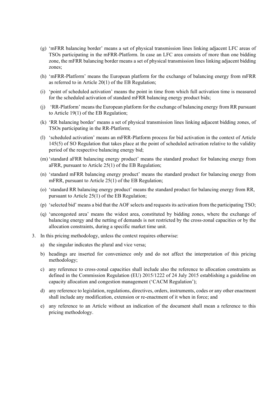- (g) 'mFRR balancing border' means a set of physical transmission lines linking adjacent LFC areas of TSOs participating in the mFRR-Platform. In case an LFC area consists of more than one bidding zone, the mFRR balancing border means a set of physical transmission lines linking adjacent bidding zones;
- (h) 'mFRR-Platform' means the European platform for the exchange of balancing energy from mFRR as referred to in Article 20(1) of the EB Regulation;
- (i) 'point of scheduled activation' means the point in time from which full activation time is measured for the scheduled activation of standard mFRR balancing energy product bids;
- (j) 'RR-Platform' means the European platform for the exchange of balancing energy from RR pursuant to Article 19(1) of the EB Regulation;
- (k) 'RR balancing border' means a set of physical transmission lines linking adjacent bidding zones, of TSOs participating in the RR-Platform;
- (l) 'scheduled activation' means an mFRR-Platform process for bid activation in the context of Article 145(5) of SO Regulation that takes place at the point of scheduled activation relative to the validity period of the respective balancing energy bid;
- (m) 'standard aFRR balancing energy product' means the standard product for balancing energy from aFRR, pursuant to Article 25(1) of the EB Regulation;
- (n) 'standard mFRR balancing energy product' means the standard product for balancing energy from mFRR, pursuant to Article 25(1) of the EB Regulation;
- (o) 'standard RR balancing energy product' means the standard product for balancing energy from RR, pursuant to Article 25(1) of the EB Regulation;
- (p) 'selected bid' means a bid that the AOF selects and requests its activation from the participating TSO;
- (q) 'uncongested area' means the widest area, constituted by bidding zones, where the exchange of balancing energy and the netting of demands is not restricted by the cross-zonal capacities or by the allocation constraints, during a specific market time unit.
- 3. In this pricing methodology, unless the context requires otherwise:
	- a) the singular indicates the plural and vice versa;
	- b) headings are inserted for convenience only and do not affect the interpretation of this pricing methodology;
	- c) any reference to cross-zonal capacities shall include also the reference to allocation constraints as defined in the Commission Regulation (EU) 2015/1222 of 24 July 2015 establishing a guideline on capacity allocation and congestion management ('CACM Regulation');
	- d) any reference to legislation, regulations, directives, orders, instruments, codes or any other enactment shall include any modification, extension or re-enactment of it when in force; and
	- e) any reference to an Article without an indication of the document shall mean a reference to this pricing methodology.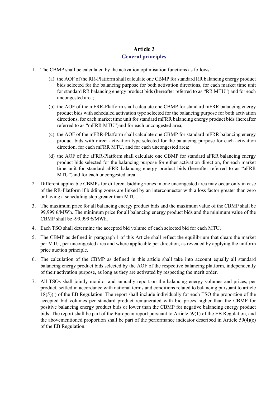## **Article 3 General principles**

- 1. The CBMP shall be calculated by the activation optimisation functions as follows:
	- (a) the AOF of the RR-Platform shall calculate one CBMP for standard RR balancing energy product bids selected for the balancing purpose for both activation directions, for each market time unit for standard RR balancing energy product bids (hereafter referred to as "RR MTU") and for each uncongested area;
	- (b) the AOF of the mFRR-Platform shall calculate one CBMP for standard mFRR balancing energy product bids with scheduled activation type selected for the balancing purpose for both activation directions, for each market time unit for standard mFRR balancing energy product bids (hereafter referred to as "mFRR MTU")and for each uncongested area;
	- (c) the AOF of the mFRR-Platform shall calculate one CBMP for standard mFRR balancing energy product bids with direct activation type selected for the balancing purpose for each activation direction, for each mFRR MTU, and for each uncongested area;
	- (d) the AOF of the aFRR-Platform shall calculate one CBMP for standard aFRR balancing energy product bids selected for the balancing purpose for either activation direction, for each market time unit for standard aFRR balancing energy product bids (hereafter referred to as "aFRR MTU")and for each uncongested area.
- 2. Different applicable CBMPs for different bidding zones in one uncongested area may occur only in case of the RR-Platform if bidding zones are linked by an interconnector with a loss factor greater than zero or having a scheduling step greater than MTU.
- 3. The maximum price for all balancing energy product bids and the maximum value of the CBMP shall be 99,999  $\epsilon$ /MWh. The minimum price for all balancing energy product bids and the minimum value of the CBMP shall be -99,999  $\varepsilon$ /MWh.
- 4. Each TSO shall determine the accepted bid volume of each selected bid for each MTU.
- 5. The CBMP as defined in paragraph 1 of this Article shall reflect the equilibrium that clears the market per MTU, per uncongested area and where applicable per direction, as revealed by applying the uniform price auction principle.
- 6. The calculation of the CBMP as defined in this article shall take into account equally all standard balancing energy product bids selected by the AOF of the respective balancing platform, independently of their activation purpose, as long as they are activated by respecting the merit order.
- 7. All TSOs shall jointly monitor and annually report on the balancing energy volumes and prices, per product, settled in accordance with national terms and conditions related to balancing pursuant to article 18(5)(i) of the EB Regulation. The report shall include individually for each TSO the proportion of the accepted bid volumes per standard product remunerated with bid prices higher than the CBMP for positive balancing energy product bids or lower than the CBMP for negative balancing energy product bids. The report shall be part of the European report pursuant to Article 59(1) of the EB Regulation, and the abovementioned proportion shall be part of the performance indicator described in Article 59(4)(e) of the EB Regulation.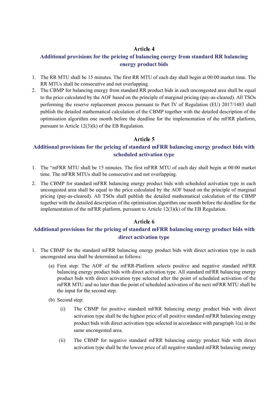## **Article 4**

## **Additional provisions for the pricing of balancing energy from standard RR balancing energy product bids**

- 1. The RR MTU shall be 15 minutes. The first RR MTU of each day shall begin at 00:00 market time. The RR MTUs shall be consecutive and not overlapping.
- 2. The CBMP for balancing energy from standard RR product bids in each uncongested area shall be equal to the price calculated by the AOF based on the principle of marginal pricing (pay-as-cleared). All TSOs performing the reserve replacement process pursuant to Part IV of Regulation (EU) 2017/1483 shall publish the detailed mathematical calculation of the CBMP together with the detailed description of the optimisation algorithm one month before the deadline for the implementation of the mFRR platform, pursuant to Article 12(3)(k) of the EB Regulation.

## Article 5

## **Additional provisions for the pricing of standard mFRR balancing energy product bids with scheduled activation type**

- 1. The "mFRR MTU shall be 15 minutes. The first mFRR MTU of each day shall begin at 00:00 market time. The mFRR MTUs shall be consecutive and not overlapping.
- 2. The CBMP for standard mFRR balancing energy product bids with scheduled activation type in each uncongested area shall be equal to the price calculated by the AOF based on the principle of marginal pricing (pay-as-cleared). All TSOs shall publish the detailed mathematical calculation of the CBMP together with the detailed description of the optimisation algorithm one month before the deadline for the implementation of the mFRR platform, pursuant to Article 12(3)(k) of the EB Regulation.

## Article 6

## **Additional provisions for the pricing of standard mFRR balancing energy product bids with direct activation type**

- 1. The CBMP for the standard mFRR balancing energy product bids with direct activation type in each uncongested area shall be determined as follows:
	- (a) First step: The AOF of the mFRR-Platform selects positive and negative standard mFRR balancing energy product bids with direct activation type. All standard mFRR balancing energy product bids with direct activation type selected after the point of scheduled activation of the mFRR MTU and no later than the point of scheduled activation of the next mFRR MTU shall be the input for the second step.
	- (b) Second step:
		- (i) The CBMP for positive standard mFRR balancing energy product bids with direct activation type shall be the highest price of all positive standard mFRR balancing energy product bids with direct activation type selected in accordance with paragraph 1(a) in the same uncongested area.
		- (ii) The CBMP for negative standard mFRR balancing energy product bids with direct activation type shall be the lowest price of all negative standard mFRR balancing energy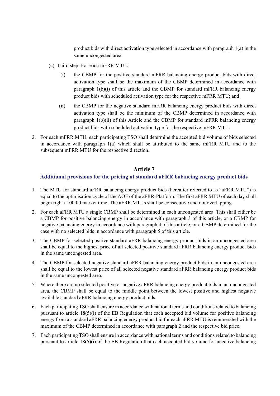product bids with direct activation type selected in accordance with paragraph 1(a) in the same uncongested area.

- (c) Third step: For each mFRR MTU:
	- (i) the CBMP for the positive standard mFRR balancing energy product bids with direct activation type shall be the maximum of the CBMP determined in accordance with paragraph 1(b)(i) of this article and the CBMP for standard mFRR balancing energy product bids with scheduled activation type for the respective mFRR MTU; and
	- (ii) the CBMP for the negative standard mFRR balancing energy product bids with direct activation type shall be the minimum of the CBMP determined in accordance with paragraph 1(b)(ii) of this Article and the CBMP for standard mFRR balancing energy product bids with scheduled activation type for the respective mFRR MTU.
- 2. For each mFRR MTU, each participating TSO shall determine the accepted bid volume of bids selected in accordance with paragraph  $1(a)$  which shall be attributed to the same mFRR MTU and to the subsequent mFRR MTU for the respective direction.

#### Article 7

#### **Additional provisions for the pricing of standard aFRR balancing energy product bids**

- 1. The MTU for standard aFRR balancing energy product bids (hereafter referred to as "aFRR MTU") is equal to the optimisation cycle of the AOF of the aFRR-Platform. The first aFRR MTU of each day shall begin right at 00:00 market time. The aFRR MTUs shall be consecutive and not overlapping.
- 2. For each aFRR MTU a single CBMP shall be determined in each uncongested area. This shall either be a CBMP for positive balancing energy in accordance with paragraph 3 of this article, or a CBMP for negative balancing energy in accordance with paragraph 4 of this article, or a CBMP determined for the case with no selected bids in accordance with paragraph 5 of this article.
- 3. The CBMP for selected positive standard aFRR balancing energy product bids in an uncongested area shall be equal to the highest price of all selected positive standard aFRR balancing energy product bids in the same uncongested area.
- 4. The CBMP for selected negative standard aFRR balancing energy product bids in an uncongested area shall be equal to the lowest price of all selected negative standard aFRR balancing energy product bids in the same uncongested area.
- 5. Where there are no selected positive or negative aFRR balancing energy product bids in an uncongested area, the CBMP shall be equal to the middle point between the lowest positive and highest negative available standard aFRR balancing energy product bids.
- 6. Each participating TSO shall ensure in accordance with national terms and conditions related to balancing pursuant to article 18(5)(i) of the EB Regulation that each accepted bid volume for positive balancing energy from a standard aFRR balancing energy product bid for each aFRR MTU is remunerated with the maximum of the CBMP determined in accordance with paragraph 2 and the respective bid price.
- 7. Each participating TSO shall ensure in accordance with national terms and conditions related to balancing pursuant to article 18(5)(i) of the EB Regulation that each accepted bid volume for negative balancing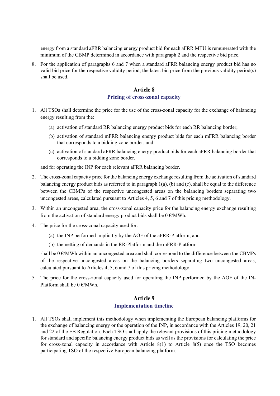energy from a standard aFRR balancing energy product bid for each aFRR MTU is remunerated with the minimum of the CBMP determined in accordance with paragraph 2 and the respective bid price.

8. For the application of paragraphs 6 and 7 when a standard aFRR balancing energy product bid has no valid bid price for the respective validity period, the latest bid price from the previous validity period(s) shall be used.

#### **Article 8**

#### **Pricing of cross-zonal capacity**

- 1. All TSOs shall determine the price for the use of the cross-zonal capacity for the exchange of balancing energy resulting from the:
	- (a) activation of standard RR balancing energy product bids for each RR balancing border;
	- (b) activation of standard mFRR balancing energy product bids for each mFRR balancing border that corresponds to a bidding zone border; and
	- (c) activation of standard aFRR balancing energy product bids for each aFRR balancing border that corresponds to a bidding zone border.

and for operating the INP for each relevant aFRR balancing border.

- 2. The cross-zonal capacity price for the balancing energy exchange resulting from the activation of standard balancing energy product bids as referred to in paragraph 1(a), (b) and (c), shall be equal to the difference between the CBMPs of the respective uncongested areas on the balancing borders separating two uncongested areas, calculated pursuant to Articles 4, 5, 6 and 7 of this pricing methodology.
- 3. Within an uncongested area, the cross-zonal capacity price for the balancing energy exchange resulting from the activation of standard energy product bids shall be  $0 \text{ }\epsilon/\text{MWh}$ .
- 4. The price for the cross-zonal capacity used for:
	- (a) the INP performed implicitly by the AOF of the aFRR-Platform; and
	- (b) the netting of demands in the RR-Platform and the mFRR-Platform

shall be  $0 \in$ /MWh within an uncongested area and shall correspond to the difference between the CBMPs of the respective uncongested areas on the balancing borders separating two uncongested areas, calculated pursuant to Articles 4, 5, 6 and 7 of this pricing methodology.

5. The price for the cross-zonal capacity used for operating the INP performed by the AOF of the IN-Platform shall be  $0 \in \text{MWh}$ .

## **Article 9 Implementation timeline**

All TSOs shall implement this methodology when implementing the European balancing platforms for the exchange of balancing energy or the operation of the INP, in accordance with the Articles 19, 20, 21 and 22 of the EB Regulation. Each TSO shall apply the relevant provisions of this pricing methodology for standard and specific balancing energy product bids as well as the provisions for calculating the price for cross-zonal capacity in accordance with Article 8(1) to Article 8(5) once the TSO becomes participating TSO of the respective European balancing platform.